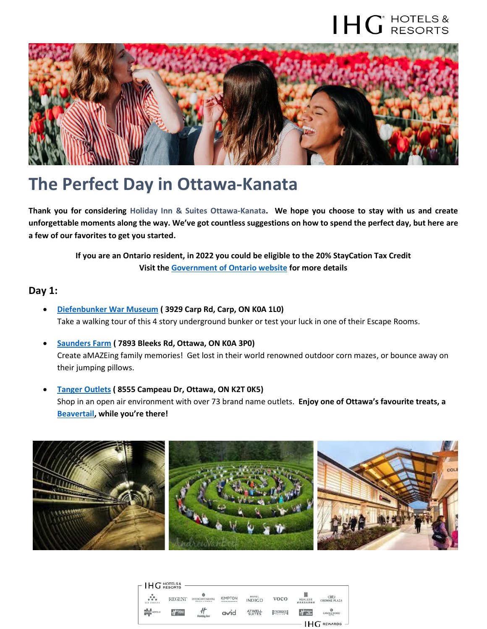## $H G$  HOTELS &



### **The Perfect Day in Ottawa-Kanata**

**Thank you for considering Holiday Inn & Suites Ottawa-Kanata. We hope you choose to stay with us and create unforgettable moments along the way. We've got countless suggestions on how to spend the perfect day, but here are a few of our favorites to get you started.**

> **If you are an Ontario resident, in 2022 you could be eligible to the 20% StayCation Tax Credit Visit th[e Government of Ontario website](https://www.ontario.ca/page/ontario-staycation-tax-credit) for more details**

#### **Day 1:**

- **[Diefenbunker War Museum](https://diefenbunker.ca/en/) ( 3929 Carp Rd, Carp, ON K0A 1L0)** Take a walking tour of this 4 story underground bunker or test your luck in one of their Escape Rooms.
- **[Saunders Farm](https://saundersfarm.com/) ( 7893 Bleeks Rd, Ottawa, ON K0A 3P0)** Create aMAZEing family memories! Get lost in their world renowned outdoor corn mazes, or bounce away on their jumping pillows.
- **Tanger [Outlets](https://www.tangeroutlet.com/ottawa/stores) ( 8555 Campeau Dr, Ottawa, ON K2T 0K5)** Shop in an open air environment with over 73 brand name outlets. **Enjoy one of Ottawa's favourite treats, a [Beavertail](https://beavertails.com/), while you're there!**